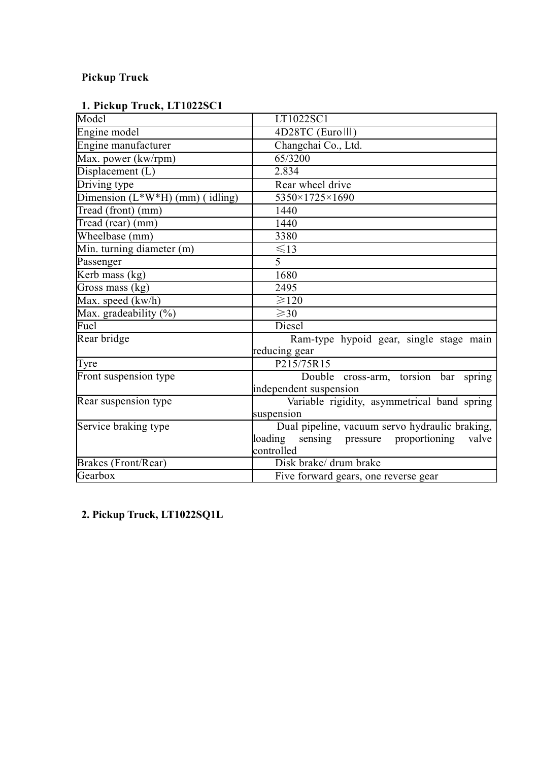## **Pickup Truck**

| 1. Pickup Truck, LT1022SC1 |
|----------------------------|
|----------------------------|

| Model                                               | LT1022SC1                                       |
|-----------------------------------------------------|-------------------------------------------------|
| Engine model                                        | 4D28TC (Euro III)                               |
| Engine manufacturer                                 | Changchai Co., Ltd.                             |
| Max. power (kw/rpm)                                 | 65/3200                                         |
| Displacement (L)                                    | 2.834                                           |
| Driving type                                        | Rear wheel drive                                |
| $\overline{\text{Dimension (L*W*H) (mm) (idling)}}$ | 5350×1725×1690                                  |
| Tread (front) (mm)                                  | 1440                                            |
| Tread (rear) (mm)                                   | 1440                                            |
| Wheelbase (mm)                                      | 3380                                            |
| Min. turning diameter (m)                           | $\leq$ 13                                       |
| Passenger                                           | 5                                               |
| Kerb mass $(kg)$                                    | 1680                                            |
| Gross mass (kg)                                     | 2495                                            |
| Max. speed (kw/h)                                   | $\geq 120$                                      |
| Max. gradeability (%)                               | $\geq 30$                                       |
| Fuel                                                | Diesel                                          |
| Rear bridge                                         | Ram-type hypoid gear, single stage main         |
|                                                     | reducing gear                                   |
| Tyre                                                | P215/75R15                                      |
| Front suspension type                               | Double cross-arm, torsion bar spring            |
|                                                     | independent suspension                          |
| Rear suspension type                                | Variable rigidity, asymmetrical band spring     |
|                                                     | suspension                                      |
| Service braking type                                | Dual pipeline, vacuum servo hydraulic braking,  |
|                                                     | loading sensing pressure proportioning<br>valve |
|                                                     | controlled                                      |
| Brakes (Front/Rear)                                 | Disk brake/ drum brake                          |
| Gearbox                                             | Five forward gears, one reverse gear            |

**2. Pickup Truck, LT1022SQ1L**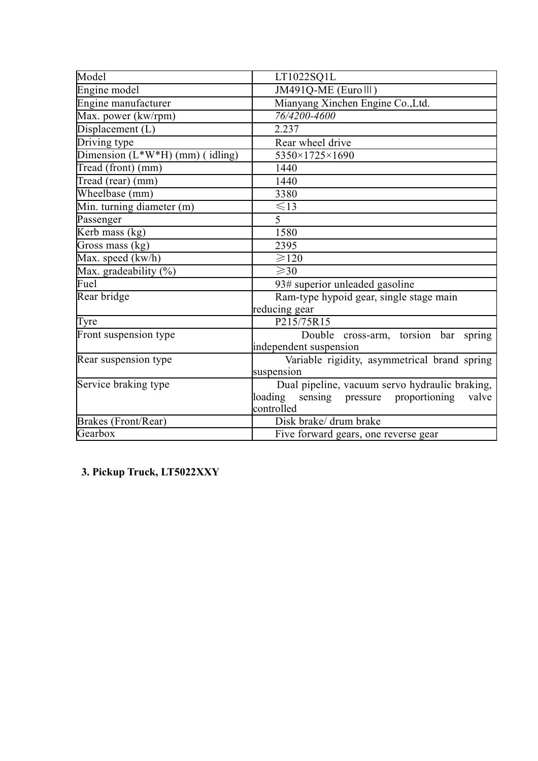| Model                             | LT1022SQ1L                                      |
|-----------------------------------|-------------------------------------------------|
| Engine model                      | JM491Q-ME (Eurolll)                             |
| Engine manufacturer               | Mianyang Xinchen Engine Co., Ltd.               |
| Max. power (kw/rpm)               | 76/4200-4600                                    |
| Displacement (L)                  | 2.237                                           |
| Driving type                      | Rear wheel drive                                |
| Dimension $(L*W*H)$ (mm) (idling) | 5350×1725×1690                                  |
| Tread (front) (mm)                | 1440                                            |
| Tread (rear) (mm)                 | 1440                                            |
| Wheelbase (mm)                    | 3380                                            |
| Min. turning diameter (m)         | $\leq$ 13                                       |
| Passenger                         | 5                                               |
| Kerb mass (kg)                    | 1580                                            |
| Gross mass (kg)                   | 2395                                            |
| Max. speed (kw/h)                 | $\geq 120$                                      |
| Max. gradeability $(\%)$          | $\geqslant$ 30                                  |
| Fuel                              | 93# superior unleaded gasoline                  |
| Rear bridge                       | Ram-type hypoid gear, single stage main         |
|                                   | reducing gear                                   |
| Tyre                              | P215/75R15                                      |
| Front suspension type             | Double cross-arm, torsion bar spring            |
|                                   | independent suspension                          |
| Rear suspension type              | Variable rigidity, asymmetrical brand spring    |
|                                   | suspension                                      |
| Service braking type              | Dual pipeline, vacuum servo hydraulic braking,  |
|                                   | loading sensing pressure proportioning<br>valve |
|                                   | controlled                                      |
| Brakes (Front/Rear)               | Disk brake/ drum brake                          |
| Gearbox                           | Five forward gears, one reverse gear            |

**3. Pickup Truck, LT5022XXY**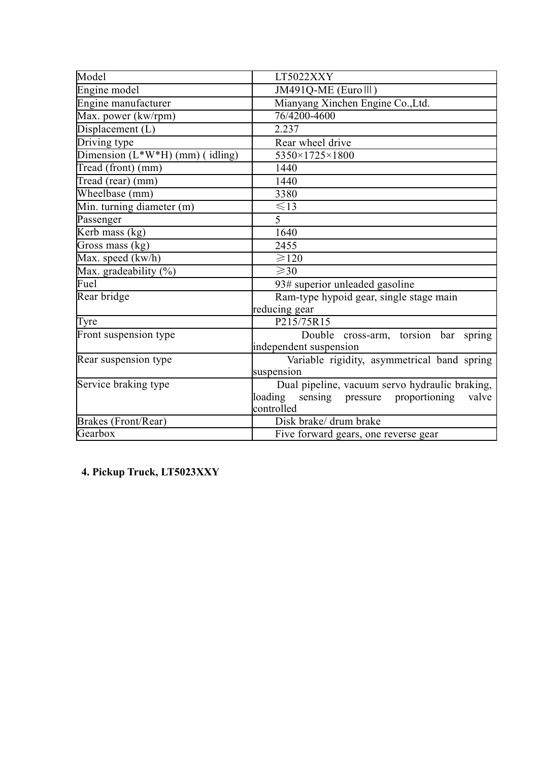| Model                             | LT5022XXY                                       |
|-----------------------------------|-------------------------------------------------|
| Engine model                      | JM491Q-ME (Eurolll)                             |
| Engine manufacturer               | Mianyang Xinchen Engine Co., Ltd.               |
| Max. power (kw/rpm)               | 76/4200-4600                                    |
| Displacement (L)                  | 2.237                                           |
| Driving type                      | Rear wheel drive                                |
| Dimension $(L*W*H)$ (mm) (idling) | 5350×1725×1800                                  |
| Tread (front) (mm)                | 1440                                            |
| Tread (rear) (mm)                 | 1440                                            |
| Wheelbase (mm)                    | 3380                                            |
| Min. turning diameter (m)         | $\leq$ 13                                       |
| Passenger                         | 5                                               |
| Kerb mass (kg)                    | 1640                                            |
| Gross mass (kg)                   | 2455                                            |
| Max. speed (kw/h)                 | $\geq 120$                                      |
| Max. gradeability $(\%)$          | $\geq 30$                                       |
| Fuel                              | 93# superior unleaded gasoline                  |
| Rear bridge                       | Ram-type hypoid gear, single stage main         |
|                                   | reducing gear                                   |
| Tyre                              | P215/75R15                                      |
| Front suspension type             | Double cross-arm, torsion bar spring            |
|                                   | independent suspension                          |
| Rear suspension type              | Variable rigidity, asymmetrical band spring     |
|                                   | suspension                                      |
| Service braking type              | Dual pipeline, vacuum servo hydraulic braking,  |
|                                   | loading sensing pressure proportioning<br>valve |
|                                   | controlled                                      |
| Brakes (Front/Rear)               | Disk brake/ drum brake                          |
| Gearbox                           | Five forward gears, one reverse gear            |

**4. Pickup Truck, LT5023XXY**